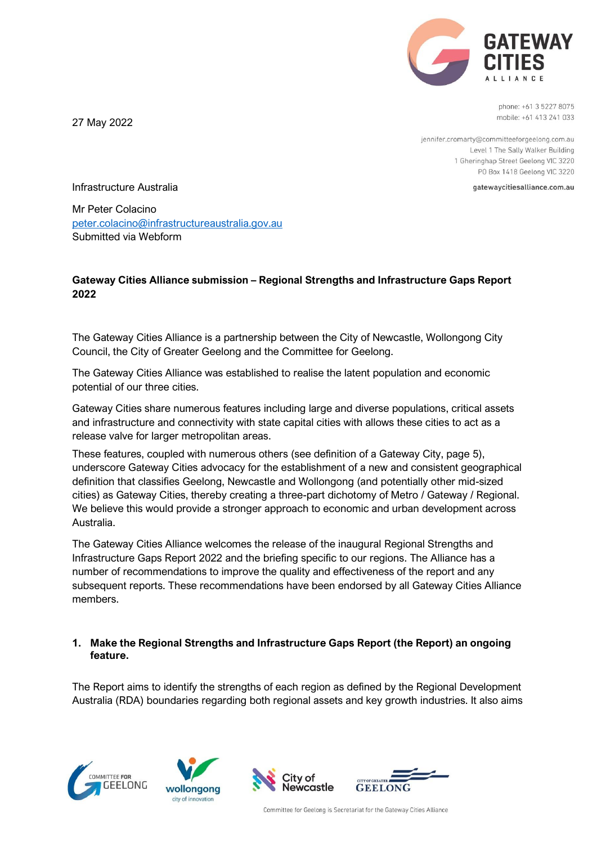

phone: +61 3 5227 8075 mobile: +61 413 241 033

jennifer.cromarty@committeeforgeelong.com.au Level 1 The Sally Walker Building 1 Gheringhap Street Geelong VIC 3220 PO Box 1418 Geelong VIC 3220

gatewaycitiesalliance.com.au

Infrastructure Australia

27 May 2022

Mr Peter Colacino peter.colacino@infrastructureaustralia.gov.au Submitted via Webform

## **Gateway Cities Alliance submission – Regional Strengths and Infrastructure Gaps Report 2022**

The Gateway Cities Alliance is a partnership between the City of Newcastle, Wollongong City Council, the City of Greater Geelong and the Committee for Geelong.

The Gateway Cities Alliance was established to realise the latent population and economic potential of our three cities.

Gateway Cities share numerous features including large and diverse populations, critical assets and infrastructure and connectivity with state capital cities with allows these cities to act as a release valve for larger metropolitan areas.

These features, coupled with numerous others (see definition of a Gateway City, page 5), underscore Gateway Cities advocacy for the establishment of a new and consistent geographical definition that classifies Geelong, Newcastle and Wollongong (and potentially other mid-sized cities) as Gateway Cities, thereby creating a three-part dichotomy of Metro / Gateway / Regional. We believe this would provide a stronger approach to economic and urban development across Australia.

The Gateway Cities Alliance welcomes the release of the inaugural Regional Strengths and Infrastructure Gaps Report 2022 and the briefing specific to our regions. The Alliance has a number of recommendations to improve the quality and effectiveness of the report and any subsequent reports. These recommendations have been endorsed by all Gateway Cities Alliance members.

# **1. Make the Regional Strengths and Infrastructure Gaps Report (the Report) an ongoing feature.**

The Report aims to identify the strengths of each region as defined by the Regional Development Australia (RDA) boundaries regarding both regional assets and key growth industries. It also aims







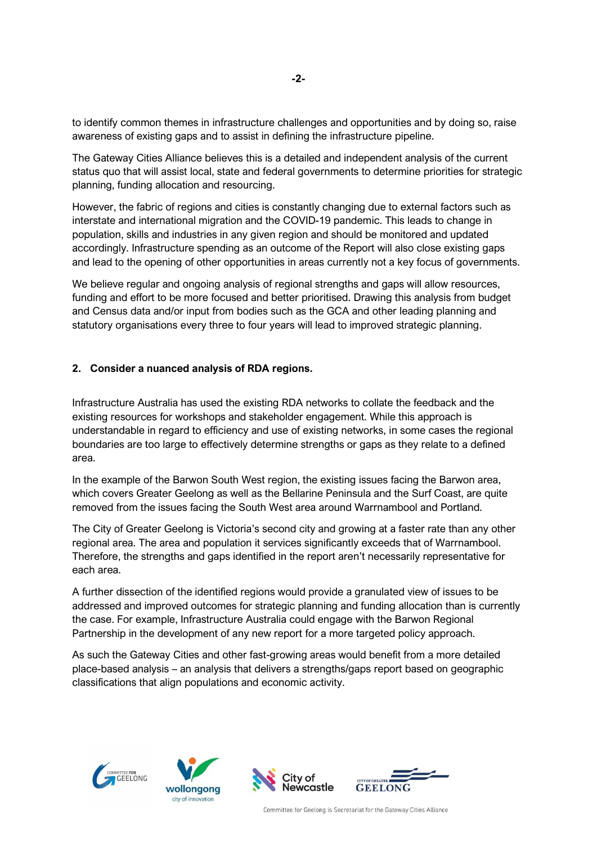to identify common themes in infrastructure challenges and opportunities and by doing so, raise awareness of existing gaps and to assist in defining the infrastructure pipeline.

The Gateway Cities Alliance believes this is a detailed and independent analysis of the current status quo that will assist local, state and federal governments to determine priorities for strategic planning, funding allocation and resourcing.

However, the fabric of regions and cities is constantly changing due to external factors such as interstate and international migration and the COVID-19 pandemic. This leads to change in population, skills and industries in any given region and should be monitored and updated accordingly. Infrastructure spending as an outcome of the Report will also close existing gaps and lead to the opening of other opportunities in areas currently not a key focus of governments.

We believe regular and ongoing analysis of regional strengths and gaps will allow resources, funding and effort to be more focused and better prioritised. Drawing this analysis from budget and Census data and/or input from bodies such as the GCA and other leading planning and statutory organisations every three to four years will lead to improved strategic planning.

## **2. Consider a nuanced analysis of RDA regions.**

Infrastructure Australia has used the existing RDA networks to collate the feedback and the existing resources for workshops and stakeholder engagement. While this approach is understandable in regard to efficiency and use of existing networks, in some cases the regional boundaries are too large to effectively determine strengths or gaps as they relate to a defined area.

In the example of the Barwon South West region, the existing issues facing the Barwon area, which covers Greater Geelong as well as the Bellarine Peninsula and the Surf Coast, are quite removed from the issues facing the South West area around Warrnambool and Portland.

The City of Greater Geelong is Victoria's second city and growing at a faster rate than any other regional area. The area and population it services significantly exceeds that of Warrnambool. Therefore, the strengths and gaps identified in the report aren't necessarily representative for each area.

A further dissection of the identified regions would provide a granulated view of issues to be addressed and improved outcomes for strategic planning and funding allocation than is currently the case. For example, Infrastructure Australia could engage with the Barwon Regional Partnership in the development of any new report for a more targeted policy approach.

As such the Gateway Cities and other fast-growing areas would benefit from a more detailed place-based analysis – an analysis that delivers a strengths/gaps report based on geographic classifications that align populations and economic activity.







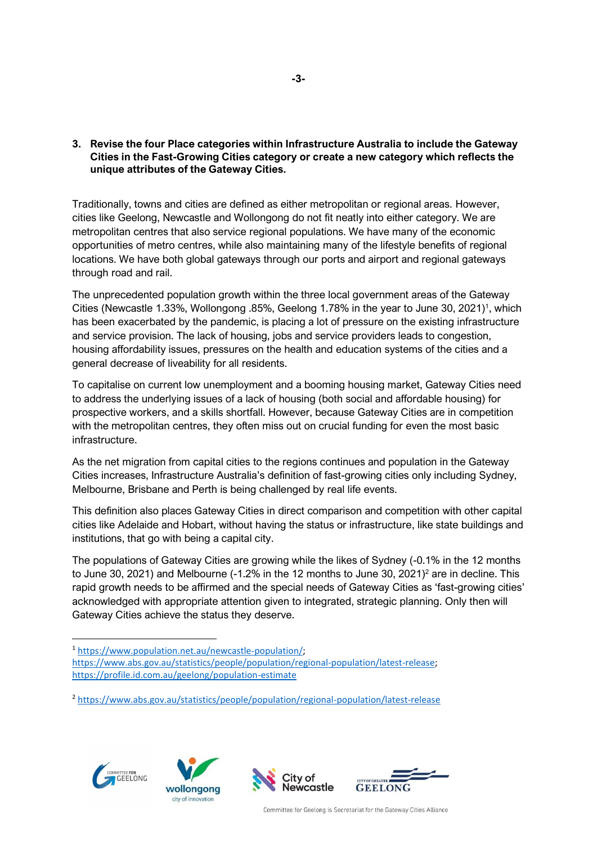## **3. Revise the four Place categories within Infrastructure Australia to include the Gateway Cities in the Fast-Growing Cities category or create a new category which reflects the unique attributes of the Gateway Cities.**

Traditionally, towns and cities are defined as either metropolitan or regional areas. However, cities like Geelong, Newcastle and Wollongong do not fit neatly into either category. We are metropolitan centres that also service regional populations. We have many of the economic opportunities of metro centres, while also maintaining many of the lifestyle benefits of regional locations. We have both global gateways through our ports and airport and regional gateways through road and rail.

The unprecedented population growth within the three local government areas of the Gateway Cities (Newcastle 1.33%, Wollongong .85%, Geelong 1.78% in the year to June 30, 2021) 1 , which has been exacerbated by the pandemic, is placing a lot of pressure on the existing infrastructure and service provision. The lack of housing, jobs and service providers leads to congestion, housing affordability issues, pressures on the health and education systems of the cities and a general decrease of liveability for all residents.

To capitalise on current low unemployment and a booming housing market, Gateway Cities need to address the underlying issues of a lack of housing (both social and affordable housing) for prospective workers, and a skills shortfall. However, because Gateway Cities are in competition with the metropolitan centres, they often miss out on crucial funding for even the most basic infrastructure.

As the net migration from capital cities to the regions continues and population in the Gateway Cities increases, Infrastructure Australia's definition of fast-growing cities only including Sydney, Melbourne, Brisbane and Perth is being challenged by real life events.

This definition also places Gateway Cities in direct comparison and competition with other capital cities like Adelaide and Hobart, without having the status or infrastructure, like state buildings and institutions, that go with being a capital city.

The populations of Gateway Cities are growing while the likes of Sydney (-0.1% in the 12 months to June 30, 2021) and Melbourne (-1.2% in the 12 months to June 30, 2021)<sup>2</sup> are in decline. This rapid growth needs to be affirmed and the special needs of Gateway Cities as 'fast-growing cities' acknowledged with appropriate attention given to integrated, strategic planning. Only then will Gateway Cities achieve the status they deserve.









<sup>1</sup> https://www.population.net.au/newcastle-population/; https://www.abs.gov.au/statistics/people/population/regional-population/latest-release; https://profile.id.com.au/geelong/population-estimate

<sup>2</sup> https://www.abs.gov.au/statistics/people/population/regional-population/latest-release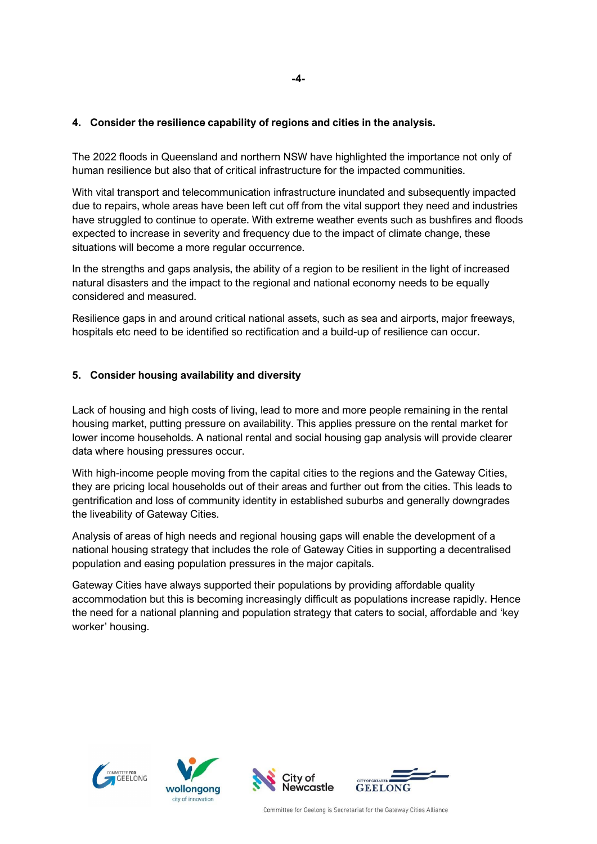## **4. Consider the resilience capability of regions and cities in the analysis.**

The 2022 floods in Queensland and northern NSW have highlighted the importance not only of human resilience but also that of critical infrastructure for the impacted communities.

With vital transport and telecommunication infrastructure inundated and subsequently impacted due to repairs, whole areas have been left cut off from the vital support they need and industries have struggled to continue to operate. With extreme weather events such as bushfires and floods expected to increase in severity and frequency due to the impact of climate change, these situations will become a more regular occurrence.

In the strengths and gaps analysis, the ability of a region to be resilient in the light of increased natural disasters and the impact to the regional and national economy needs to be equally considered and measured.

Resilience gaps in and around critical national assets, such as sea and airports, major freeways, hospitals etc need to be identified so rectification and a build-up of resilience can occur.

#### **5. Consider housing availability and diversity**

Lack of housing and high costs of living, lead to more and more people remaining in the rental housing market, putting pressure on availability. This applies pressure on the rental market for lower income households. A national rental and social housing gap analysis will provide clearer data where housing pressures occur.

With high-income people moving from the capital cities to the regions and the Gateway Cities, they are pricing local households out of their areas and further out from the cities. This leads to gentrification and loss of community identity in established suburbs and generally downgrades the liveability of Gateway Cities.

Analysis of areas of high needs and regional housing gaps will enable the development of a national housing strategy that includes the role of Gateway Cities in supporting a decentralised population and easing population pressures in the major capitals.

Gateway Cities have always supported their populations by providing affordable quality accommodation but this is becoming increasingly difficult as populations increase rapidly. Hence the need for a national planning and population strategy that caters to social, affordable and 'key worker' housing.







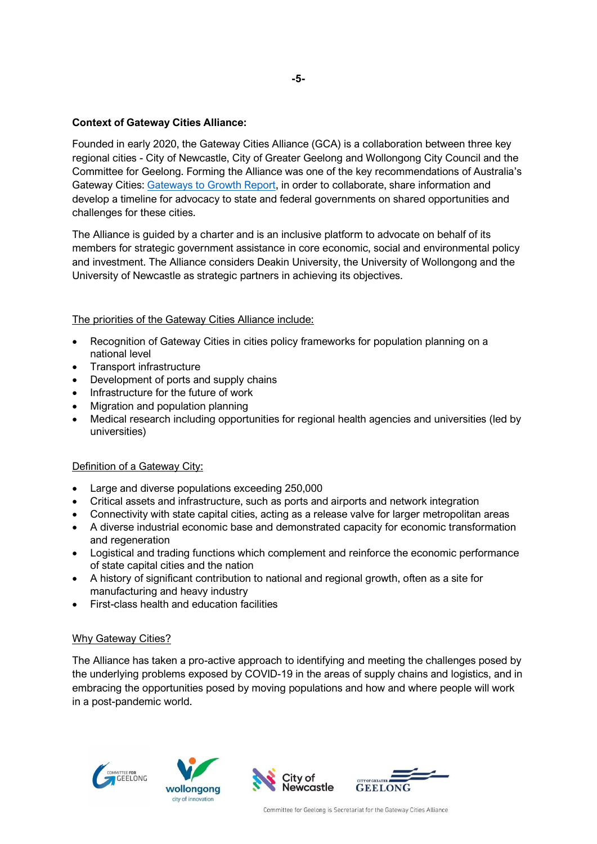## **Context of Gateway Cities Alliance:**

Founded in early 2020, the Gateway Cities Alliance (GCA) is a collaboration between three key regional cities - City of Newcastle, City of Greater Geelong and Wollongong City Council and the Committee for Geelong. Forming the Alliance was one of the key recommendations of Australia's Gateway Cities: Gateways to Growth Report, in order to collaborate, share information and develop a timeline for advocacy to state and federal governments on shared opportunities and challenges for these cities.

The Alliance is guided by a charter and is an inclusive platform to advocate on behalf of its members for strategic government assistance in core economic, social and environmental policy and investment. The Alliance considers Deakin University, the University of Wollongong and the University of Newcastle as strategic partners in achieving its objectives.

## The priorities of the Gateway Cities Alliance include:

- Recognition of Gateway Cities in cities policy frameworks for population planning on a national level
- Transport infrastructure
- Development of ports and supply chains
- Infrastructure for the future of work
- Migration and population planning
- Medical research including opportunities for regional health agencies and universities (led by universities)

## Definition of a Gateway City:

- Large and diverse populations exceeding 250,000
- Critical assets and infrastructure, such as ports and airports and network integration
- Connectivity with state capital cities, acting as a release valve for larger metropolitan areas
- A diverse industrial economic base and demonstrated capacity for economic transformation and regeneration
- Logistical and trading functions which complement and reinforce the economic performance of state capital cities and the nation
- A history of significant contribution to national and regional growth, often as a site for manufacturing and heavy industry
- First-class health and education facilities

## Why Gateway Cities?

The Alliance has taken a pro-active approach to identifying and meeting the challenges posed by the underlying problems exposed by COVID-19 in the areas of supply chains and logistics, and in embracing the opportunities posed by moving populations and how and where people will work in a post-pandemic world.